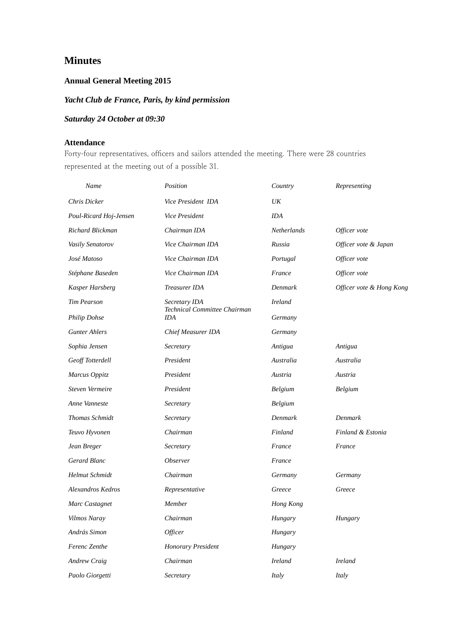# **Minutes**

## **Annual General Meeting 2015**

# *Yacht Club de France, Paris, by kind permission*

# *Saturday 24 October at 09:30*

## **Attendance**

Forty-four representatives, officers and sailors attended the meeting. There were 28 countries represented at the meeting out of a possible 31.

| Name                    | Position                                   | Country     | Representing             |
|-------------------------|--------------------------------------------|-------------|--------------------------|
| Chris Dicker            | Vice President IDA                         | UK          |                          |
| Poul-Ricard Hoj-Jensen  | Vice President                             | <b>IDA</b>  |                          |
| <b>Richard Blickman</b> | Chairman IDA                               | Netherlands | Officer vote             |
| Vasily Senatorov        | Vice Chairman IDA                          | Russia      | Officer vote & Japan     |
| José Matoso             | Vice Chairman IDA                          | Portugal    | Officer vote             |
| Stéphane Baseden        | Vice Chairman IDA                          | France      | Officer vote             |
| Kasper Harsberg         | Treasurer IDA                              | Denmark     | Officer vote & Hong Kong |
| <b>Tim Pearson</b>      | Secretary IDA                              | Ireland     |                          |
| <b>Philip Dohse</b>     | Technical Committee Chairman<br><b>IDA</b> | Germany     |                          |
| <b>Gunter Ahlers</b>    | Chief Measurer IDA                         | Germany     |                          |
| Sophia Jensen           | Secretary                                  | Antigua     | Antigua                  |
| Geoff Totterdell        | President                                  | Australia   | Australia                |
| Marcus Oppitz           | President                                  | Austria     | Austria                  |
| Steven Vermeire         | President                                  | Belgium     | Belgium                  |
| Anne Vanneste           | Secretary                                  | Belgium     |                          |
| <b>Thomas Schmidt</b>   | Secretary                                  | Denmark     | Denmark                  |
| Teuvo Hyvonen           | Chairman                                   | Finland     | Finland & Estonia        |
| Jean Breger             | Secretary                                  | France      | France                   |
| Gerard Blanc            | Observer                                   | France      |                          |
| <b>Helmut Schmidt</b>   | Chairman                                   | Germany     | Germany                  |
| Alexandros Kedros       | Representative                             | Greece      | Greece                   |
| Marc Castagnet          | Member                                     | Hong Kong   |                          |
| <b>Vilmos Naray</b>     | Chairman                                   | Hungary     | Hungary                  |
| András Simon            | Officer                                    | Hungary     |                          |
| Ferenc Zenthe           | <b>Honorary President</b>                  | Hungary     |                          |
| <b>Andrew Craig</b>     | Chairman                                   | Ireland     | Ireland                  |
| Paolo Giorgetti         | Secretary                                  | Italy       | Italy                    |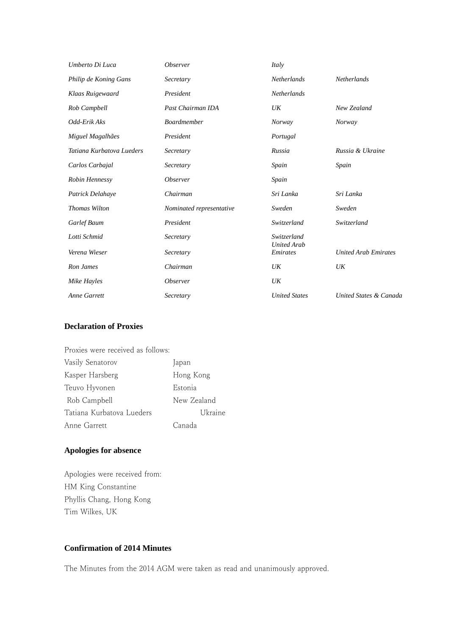| Umberto Di Luca           | Observer                 | Italy                          |                             |
|---------------------------|--------------------------|--------------------------------|-----------------------------|
| Philip de Koning Gans     | Secretary                | <b>Netherlands</b>             | <b>Netherlands</b>          |
| Klaas Ruigewaard          | President                | <b>Netherlands</b>             |                             |
| Rob Campbell              | Past Chairman IDA        | UK                             | New Zealand                 |
| Odd-Erik Aks              | Boardmember              | Norway                         | Norway                      |
| Miguel Magalhães          | President                | Portugal                       |                             |
| Tatiana Kurbatova Lueders | Secretary                | Russia                         | Russia & Ukraine            |
| Carlos Carbajal           | Secretary                | Spain                          | Spain                       |
| Robin Hennessy            | <b>Observer</b>          | Spain                          |                             |
| Patrick Delahaye          | Chairman                 | Sri Lanka                      | Sri Lanka                   |
| <b>Thomas Wilton</b>      | Nominated representative | Sweden                         | Sweden                      |
| Garlef Baum               | President                | Switzerland                    | Switzerland                 |
| Lotti Schmid              | Secretary                | Switzerland                    |                             |
| Verena Wieser             | Secretary                | <b>United Arab</b><br>Emirates | <b>United Arab Emirates</b> |
| Ron James                 | Chairman                 | UK                             | UK                          |
| Mike Hayles               | <b>Observer</b>          | UK                             |                             |
| <b>Anne Garrett</b>       | Secretary                | <b>United States</b>           | United States & Canada      |

# **Declaration of Proxies**

| Proxies were received as follows: |             |
|-----------------------------------|-------------|
| Vasily Senatorov                  | Japan       |
| Kasper Harsberg                   | Hong Kong   |
| Teuvo Hyvonen                     | Estonia     |
| Rob Campbell                      | New Zealand |
| Tatiana Kurbatova Lueders         | Ukraine     |
| Anne Garrett                      | Canada      |

# **Apologies for absence**

Apologies were received from: HM King Constantine Phyllis Chang, Hong Kong Tim Wilkes, UK

## **Confirmation of 2014 Minutes**

The Minutes from the 2014 AGM were taken as read and unanimously approved.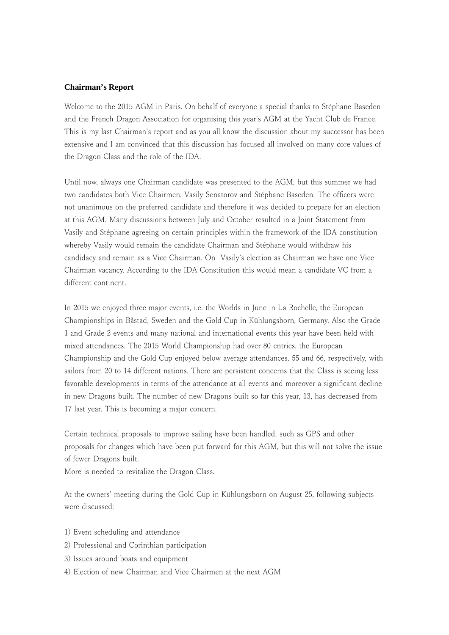#### **Chairman's Report**

Welcome to the 2015 AGM in Paris. On behalf of everyone a special thanks to Stéphane Baseden and the French Dragon Association for organising this year's AGM at the Yacht Club de France. This is my last Chairman's report and as you all know the discussion about my successor has been extensive and I am convinced that this discussion has focused all involved on many core values of the Dragon Class and the role of the IDA.

Until now, always one Chairman candidate was presented to the AGM, but this summer we had two candidates both Vice Chairmen, Vasily Senatorov and Stéphane Baseden. The officers were not unanimous on the preferred candidate and therefore it was decided to prepare for an election at this AGM. Many discussions between July and October resulted in a Joint Statement from Vasily and Stéphane agreeing on certain principles within the framework of the IDA constitution whereby Vasily would remain the candidate Chairman and Stéphane would withdraw his candidacy and remain as a Vice Chairman. On Vasily's election as Chairman we have one Vice Chairman vacancy. According to the IDA Constitution this would mean a candidate VC from a different continent.

In 2015 we enjoyed three major events, i.e. the Worlds in June in La Rochelle, the European Championships in Båstad, Sweden and the Gold Cup in Kühlungsborn, Germany. Also the Grade 1 and Grade 2 events and many national and international events this year have been held with mixed attendances. The 2015 World Championship had over 80 entries, the European Championship and the Gold Cup enjoyed below average attendances, 55 and 66, respectively, with sailors from 20 to 14 different nations. There are persistent concerns that the Class is seeing less favorable developments in terms of the attendance at all events and moreover a significant decline in new Dragons built. The number of new Dragons built so far this year, 13, has decreased from 17 last year. This is becoming a major concern.

Certain technical proposals to improve sailing have been handled, such as GPS and other proposals for changes which have been put forward for this AGM, but this will not solve the issue of fewer Dragons built.

More is needed to revitalize the Dragon Class.

At the owners' meeting during the Gold Cup in Kühlungsborn on August 25, following subjects were discussed:

- 1) Event scheduling and attendance
- 2) Professional and Corinthian participation
- 3) Issues around boats and equipment
- 4) Election of new Chairman and Vice Chairmen at the next AGM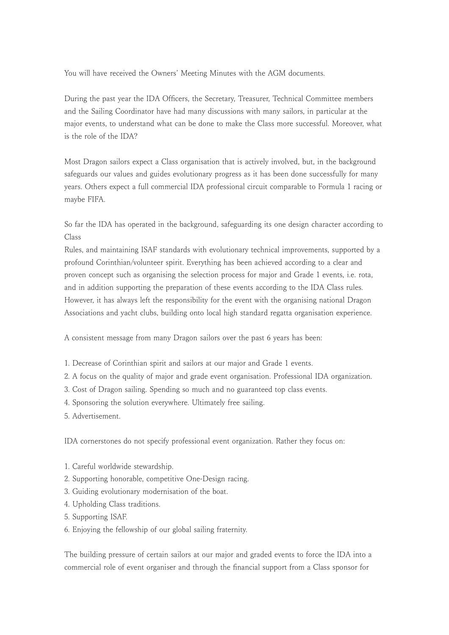You will have received the Owners' Meeting Minutes with the AGM documents.

During the past year the IDA Officers, the Secretary, Treasurer, Technical Committee members and the Sailing Coordinator have had many discussions with many sailors, in particular at the major events, to understand what can be done to make the Class more successful. Moreover, what is the role of the IDA?

Most Dragon sailors expect a Class organisation that is actively involved, but, in the background safeguards our values and guides evolutionary progress as it has been done successfully for many years. Others expect a full commercial IDA professional circuit comparable to Formula 1 racing or maybe FIFA.

So far the IDA has operated in the background, safeguarding its one design character according to Class

Rules, and maintaining ISAF standards with evolutionary technical improvements, supported by a profound Corinthian/volunteer spirit. Everything has been achieved according to a clear and proven concept such as organising the selection process for major and Grade 1 events, i.e. rota, and in addition supporting the preparation of these events according to the IDA Class rules. However, it has always left the responsibility for the event with the organising national Dragon Associations and yacht clubs, building onto local high standard regatta organisation experience.

A consistent message from many Dragon sailors over the past 6 years has been:

- 1. Decrease of Corinthian spirit and sailors at our major and Grade 1 events.
- 2. A focus on the quality of major and grade event organisation. Professional IDA organization.
- 3. Cost of Dragon sailing. Spending so much and no guaranteed top class events.
- 4. Sponsoring the solution everywhere. Ultimately free sailing.
- 5. Advertisement.

IDA cornerstones do not specify professional event organization. Rather they focus on:

- 1. Careful worldwide stewardship.
- 2. Supporting honorable, competitive One-Design racing.
- 3. Guiding evolutionary modernisation of the boat.
- 4. Upholding Class traditions.
- 5. Supporting ISAF.
- 6. Enjoying the fellowship of our global sailing fraternity.

The building pressure of certain sailors at our major and graded events to force the IDA into a commercial role of event organiser and through the financial support from a Class sponsor for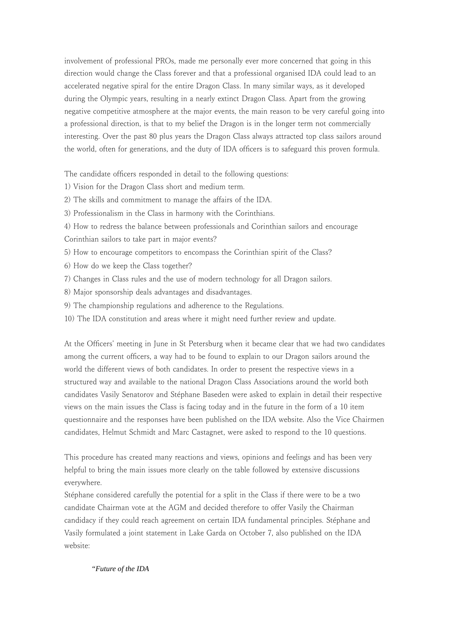involvement of professional PROs, made me personally ever more concerned that going in this direction would change the Class forever and that a professional organised IDA could lead to an accelerated negative spiral for the entire Dragon Class. In many similar ways, as it developed during the Olympic years, resulting in a nearly extinct Dragon Class. Apart from the growing negative competitive atmosphere at the major events, the main reason to be very careful going into a professional direction, is that to my belief the Dragon is in the longer term not commercially interesting. Over the past 80 plus years the Dragon Class always attracted top class sailors around the world, often for generations, and the duty of IDA officers is to safeguard this proven formula.

The candidate officers responded in detail to the following questions:

- 1) Vision for the Dragon Class short and medium term.
- 2) The skills and commitment to manage the affairs of the IDA.
- 3) Professionalism in the Class in harmony with the Corinthians.
- 4) How to redress the balance between professionals and Corinthian sailors and encourage Corinthian sailors to take part in major events?
- 5) How to encourage competitors to encompass the Corinthian spirit of the Class?
- 6) How do we keep the Class together?
- 7) Changes in Class rules and the use of modern technology for all Dragon sailors.
- 8) Major sponsorship deals advantages and disadvantages.
- 9) The championship regulations and adherence to the Regulations.
- 10) The IDA constitution and areas where it might need further review and update.

At the Officers' meeting in June in St Petersburg when it became clear that we had two candidates among the current officers, a way had to be found to explain to our Dragon sailors around the world the different views of both candidates. In order to present the respective views in a structured way and available to the national Dragon Class Associations around the world both candidates Vasily Senatorov and Stéphane Baseden were asked to explain in detail their respective views on the main issues the Class is facing today and in the future in the form of a 10 item questionnaire and the responses have been published on the IDA website. Also the Vice Chairmen candidates, Helmut Schmidt and Marc Castagnet, were asked to respond to the 10 questions.

This procedure has created many reactions and views, opinions and feelings and has been very helpful to bring the main issues more clearly on the table followed by extensive discussions everywhere.

Stéphane considered carefully the potential for a split in the Class if there were to be a two candidate Chairman vote at the AGM and decided therefore to offer Vasily the Chairman candidacy if they could reach agreement on certain IDA fundamental principles. Stéphane and Vasily formulated a joint statement in Lake Garda on October 7, also published on the IDA website:

### *"Future of the IDA*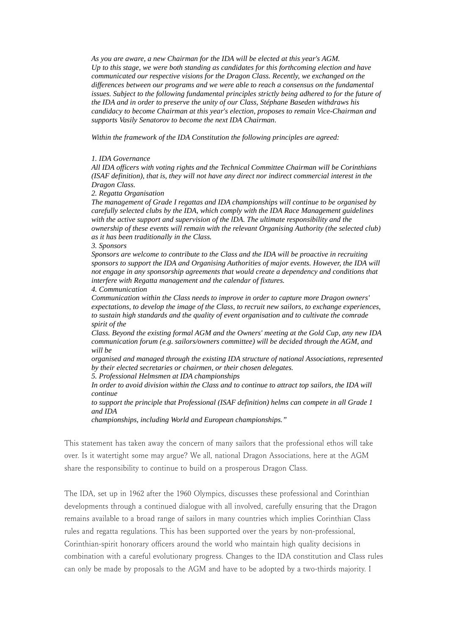*As you are aware, a new Chairman for the IDA will be elected at this year's AGM. Up to this stage, we were both standing as candidates for this forthcoming election and have communicated our respective visions for the Dragon Class. Recently, we exchanged on the differences between our programs and we were able to reach a consensus on the fundamental issues. Subject to the following fundamental principles strictly being adhered to for the future of the IDA and in order to preserve the unity of our Class, Stéphane Baseden withdraws his candidacy to become Chairman at this year's election, proposes to remain Vice-Chairman and supports Vasily Senatorov to become the next IDA Chairman.* 

*Within the framework of the IDA Constitution the following principles are agreed:*

#### *1. IDA Governance*

*All IDA officers with voting rights and the Technical Committee Chairman will be Corinthians (ISAF definition), that is, they will not have any direct nor indirect commercial interest in the Dragon Class.* 

*2. Regatta Organisation* 

*The management of Grade I regattas and IDA championships will continue to be organised by carefully selected clubs by the IDA, which comply with the IDA Race Management guidelines with the active support and supervision of the lDA. The ultimate responsibility and the ownership of these events will remain with the relevant Organising Authority (the selected club) as it has been traditionally in the Class.* 

*3. Sponsors* 

*Sponsors are welcome to contribute to the Class and the IDA will be proactive in recruiting sponsors to support the IDA and Organising Authorities of major events. However, the IDA will not engage in any sponsorship agreements that would create a dependency and conditions that interfere with Regatta management and the calendar of fixtures.* 

#### *4. Communication*

*Communication within the Class needs to improve in order to capture more Dragon owners' expectations, to develop the image of the Class, to recruit new sailors, to exchange experiences, to sustain high standards and the quality of event organisation and to cultivate the comrade spirit of the* 

*Class. Beyond the existing formal AGM and the Owners' meeting at the Gold Cup, any new IDA communication forum (e.g. sailors/owners committee) will be decided through the AGM, and will be* 

*organised and managed through the existing IDA structure of national Associations, represented by their elected secretaries or chairmen, or their chosen delegates.* 

*5. Professional Helmsmen at IDA championships* 

*In order to avoid division within the Class and to continue to attract top sailors, the IDA will continue* 

*to support the principle that Professional (ISAF definition) helms can compete in all Grade 1 and IDA* 

*championships, including World and European championships."*

This statement has taken away the concern of many sailors that the professional ethos will take over. Is it watertight some may argue? We all, national Dragon Associations, here at the AGM share the responsibility to continue to build on a prosperous Dragon Class.

The IDA, set up in 1962 after the 1960 Olympics, discusses these professional and Corinthian developments through a continued dialogue with all involved, carefully ensuring that the Dragon remains available to a broad range of sailors in many countries which implies Corinthian Class rules and regatta regulations. This has been supported over the years by non-professional, Corinthian-spirit honorary officers around the world who maintain high quality decisions in combination with a careful evolutionary progress. Changes to the IDA constitution and Class rules can only be made by proposals to the AGM and have to be adopted by a two-thirds majority. I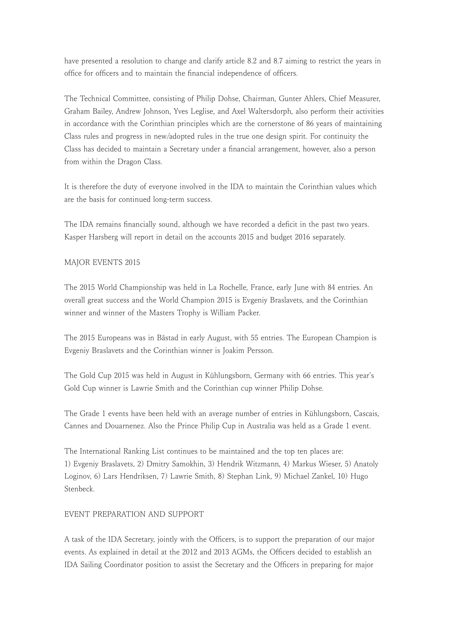have presented a resolution to change and clarify article 8.2 and 8.7 aiming to restrict the years in office for officers and to maintain the financial independence of officers.

The Technical Committee, consisting of Philip Dohse, Chairman, Gunter Ahlers, Chief Measurer, Graham Bailey, Andrew Johnson, Yves Leglise, and Axel Waltersdorph, also perform their activities in accordance with the Corinthian principles which are the cornerstone of 86 years of maintaining Class rules and progress in new/adopted rules in the true one design spirit. For continuity the Class has decided to maintain a Secretary under a financial arrangement, however, also a person from within the Dragon Class.

It is therefore the duty of everyone involved in the IDA to maintain the Corinthian values which are the basis for continued long-term success.

The IDA remains financially sound, although we have recorded a deficit in the past two years. Kasper Harsberg will report in detail on the accounts 2015 and budget 2016 separately.

## MAJOR EVENTS 2015

The 2015 World Championship was held in La Rochelle, France, early June with 84 entries. An overall great success and the World Champion 2015 is Evgeniy Braslavets, and the Corinthian winner and winner of the Masters Trophy is William Packer.

The 2015 Europeans was in Båstad in early August, with 55 entries. The European Champion is Evgeniy Braslavets and the Corinthian winner is Joakim Persson.

The Gold Cup 2015 was held in August in Kühlungsborn, Germany with 66 entries. This year's Gold Cup winner is Lawrie Smith and the Corinthian cup winner Philip Dohse.

The Grade 1 events have been held with an average number of entries in Kühlungsborn, Cascais, Cannes and Douarnenez. Also the Prince Philip Cup in Australia was held as a Grade 1 event.

The International Ranking List continues to be maintained and the top ten places are: 1) Evgeniy Braslavets, 2) Dmitry Samokhin, 3) Hendrik Witzmann, 4) Markus Wieser, 5) Anatoly Loginov, 6) Lars Hendriksen, 7) Lawrie Smith, 8) Stephan Link, 9) Michael Zankel, 10) Hugo Stenbeck.

### EVENT PREPARATION AND SUPPORT

A task of the IDA Secretary, jointly with the Officers, is to support the preparation of our major events. As explained in detail at the 2012 and 2013 AGMs, the Officers decided to establish an IDA Sailing Coordinator position to assist the Secretary and the Officers in preparing for major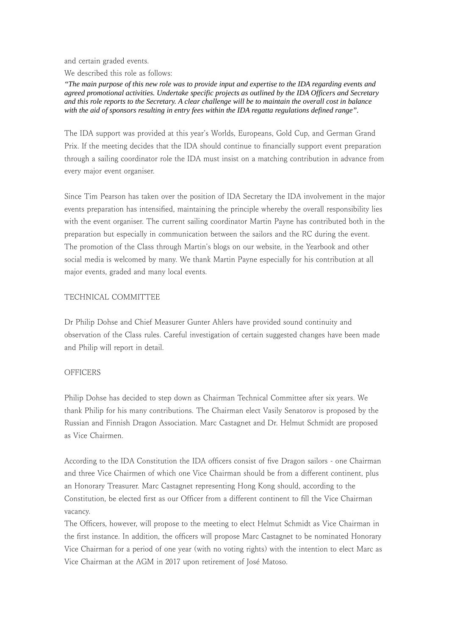and certain graded events.

We described this role as follows:

*"The main purpose of this new role was to provide input and expertise to the IDA regarding events and agreed promotional activities. Undertake specific projects as outlined by the IDA Officers and Secretary and this role reports to the Secretary. A clear challenge will be to maintain the overall cost in balance with the aid of sponsors resulting in entry fees within the IDA regatta regulations defined range".*

The IDA support was provided at this year's Worlds, Europeans, Gold Cup, and German Grand Prix. If the meeting decides that the IDA should continue to financially support event preparation through a sailing coordinator role the IDA must insist on a matching contribution in advance from every major event organiser.

Since Tim Pearson has taken over the position of IDA Secretary the IDA involvement in the major events preparation has intensified, maintaining the principle whereby the overall responsibility lies with the event organiser. The current sailing coordinator Martin Payne has contributed both in the preparation but especially in communication between the sailors and the RC during the event. The promotion of the Class through Martin's blogs on our website, in the Yearbook and other social media is welcomed by many. We thank Martin Payne especially for his contribution at all major events, graded and many local events.

## TECHNICAL COMMITTEE

Dr Philip Dohse and Chief Measurer Gunter Ahlers have provided sound continuity and observation of the Class rules. Careful investigation of certain suggested changes have been made and Philip will report in detail.

# **OFFICERS**

Philip Dohse has decided to step down as Chairman Technical Committee after six years. We thank Philip for his many contributions. The Chairman elect Vasily Senatorov is proposed by the Russian and Finnish Dragon Association. Marc Castagnet and Dr. Helmut Schmidt are proposed as Vice Chairmen.

According to the IDA Constitution the IDA officers consist of five Dragon sailors - one Chairman and three Vice Chairmen of which one Vice Chairman should be from a different continent, plus an Honorary Treasurer. Marc Castagnet representing Hong Kong should, according to the Constitution, be elected first as our Officer from a different continent to fill the Vice Chairman vacancy.

The Officers, however, will propose to the meeting to elect Helmut Schmidt as Vice Chairman in the first instance. In addition, the officers will propose Marc Castagnet to be nominated Honorary Vice Chairman for a period of one year (with no voting rights) with the intention to elect Marc as Vice Chairman at the AGM in 2017 upon retirement of José Matoso.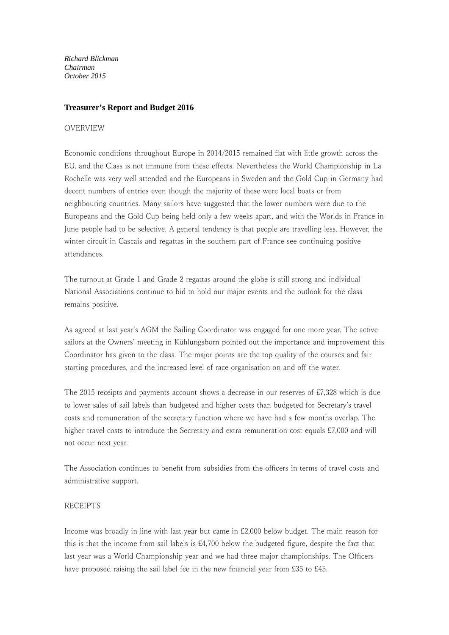*Richard Blickman Chairman October 2015*

### **Treasurer's Report and Budget 2016**

#### OVERVIEW

Economic conditions throughout Europe in 2014/2015 remained flat with little growth across the EU, and the Class is not immune from these effects. Nevertheless the World Championship in La Rochelle was very well attended and the Europeans in Sweden and the Gold Cup in Germany had decent numbers of entries even though the majority of these were local boats or from neighbouring countries. Many sailors have suggested that the lower numbers were due to the Europeans and the Gold Cup being held only a few weeks apart, and with the Worlds in France in June people had to be selective. A general tendency is that people are travelling less. However, the winter circuit in Cascais and regattas in the southern part of France see continuing positive attendances.

The turnout at Grade 1 and Grade 2 regattas around the globe is still strong and individual National Associations continue to bid to hold our major events and the outlook for the class remains positive.

As agreed at last year's AGM the Sailing Coordinator was engaged for one more year. The active sailors at the Owners' meeting in Kühlungsborn pointed out the importance and improvement this Coordinator has given to the class. The major points are the top quality of the courses and fair starting procedures, and the increased level of race organisation on and off the water.

The 2015 receipts and payments account shows a decrease in our reserves of £7,328 which is due to lower sales of sail labels than budgeted and higher costs than budgeted for Secretary's travel costs and remuneration of the secretary function where we have had a few months overlap. The higher travel costs to introduce the Secretary and extra remuneration cost equals £7,000 and will not occur next year.

The Association continues to benefit from subsidies from the officers in terms of travel costs and administrative support.

### RECEIPTS

Income was broadly in line with last year but came in £2,000 below budget. The main reason for this is that the income from sail labels is £4,700 below the budgeted figure, despite the fact that last year was a World Championship year and we had three major championships. The Officers have proposed raising the sail label fee in the new financial year from £35 to £45.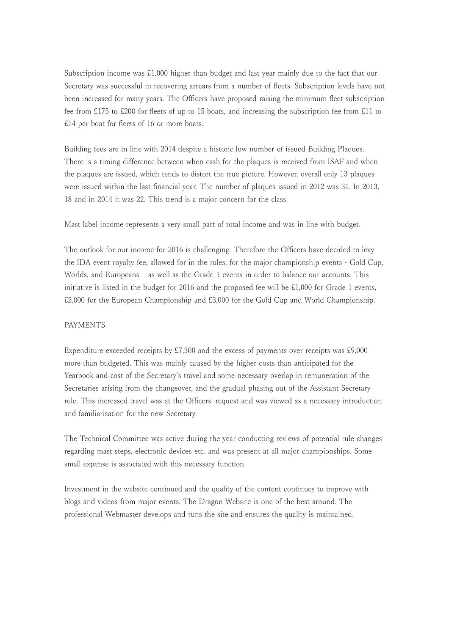Subscription income was £1,000 higher than budget and last year mainly due to the fact that our Secretary was successful in recovering arrears from a number of fleets. Subscription levels have not been increased for many years. The Officers have proposed raising the minimum fleet subscription fee from £175 to £200 for fleets of up to 15 boats, and increasing the subscription fee from £11 to £14 per boat for fleets of 16 or more boats.

Building fees are in line with 2014 despite a historic low number of issued Building Plaques. There is a timing difference between when cash for the plaques is received from ISAF and when the plaques are issued, which tends to distort the true picture. However, overall only 13 plaques were issued within the last financial year. The number of plaques issued in 2012 was 31. In 2013, 18 and in 2014 it was 22. This trend is a major concern for the class.

Mast label income represents a very small part of total income and was in line with budget.

The outlook for our income for 2016 is challenging. Therefore the Officers have decided to levy the IDA event royalty fee, allowed for in the rules, for the major championship events - Gold Cup, Worlds, and Europeans – as well as the Grade 1 events in order to balance our accounts. This initiative is listed in the budget for 2016 and the proposed fee will be £1,000 for Grade 1 events, £2,000 for the European Championship and £3,000 for the Gold Cup and World Championship.

### PAYMENTS

Expenditure exceeded receipts by £7,300 and the excess of payments over receipts was £9,000 more than budgeted. This was mainly caused by the higher costs than anticipated for the Yearbook and cost of the Secretary's travel and some necessary overlap in remuneration of the Secretaries arising from the changeover, and the gradual phasing out of the Assistant Secretary role. This increased travel was at the Officers' request and was viewed as a necessary introduction and familiarisation for the new Secretary.

The Technical Committee was active during the year conducting reviews of potential rule changes regarding mast steps, electronic devices etc. and was present at all major championships. Some small expense is associated with this necessary function.

Investment in the website continued and the quality of the content continues to improve with blogs and videos from major events. The Dragon Website is one of the best around. The professional Webmaster develops and runs the site and ensures the quality is maintained.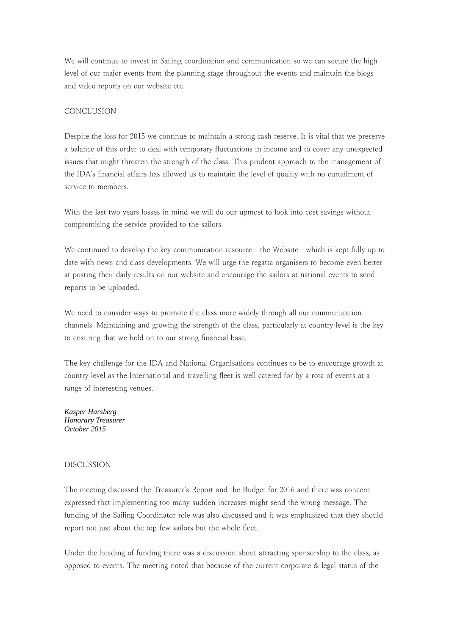We will continue to invest in Sailing coordination and communication so we can secure the high level of our major events from the planning stage throughout the events and maintain the blogs and video reports on our website etc.

## CONCLUSION

Despite the loss for 2015 we continue to maintain a strong cash reserve. It is vital that we preserve a balance of this order to deal with temporary fluctuations in income and to cover any unexpected issues that might threaten the strength of the class. This prudent approach to the management of the IDA's financial affairs has allowed us to maintain the level of quality with no curtailment of service to members.

With the last two years losses in mind we will do our upmost to look into cost savings without compromising the service provided to the sailors.

We continued to develop the key communication resource - the Website - which is kept fully up to date with news and class developments. We will urge the regatta organisers to become even better at posting their daily results on our website and encourage the sailors at national events to send reports to be uploaded.

We need to consider ways to promote the class more widely through all our communication channels. Maintaining and growing the strength of the class, particularly at country level is the key to ensuring that we hold on to our strong financial base.

The key challenge for the IDA and National Organisations continues to be to encourage growth at country level as the International and travelling fleet is well catered for by a rota of events at a range of interesting venues.

*Kasper Harsberg Honorary Treasurer October 2015*

### DISCUSSION

The meeting discussed the Treasurer's Report and the Budget for 2016 and there was concern expressed that implementing too many sudden increases might send the wrong message. The funding of the Sailing Coordinator role was also discussed and it was emphasized that they should report not just about the top few sailors but the whole fleet.

Under the heading of funding there was a discussion about attracting sponsorship to the class, as opposed to events. The meeting noted that because of the current corporate & legal status of the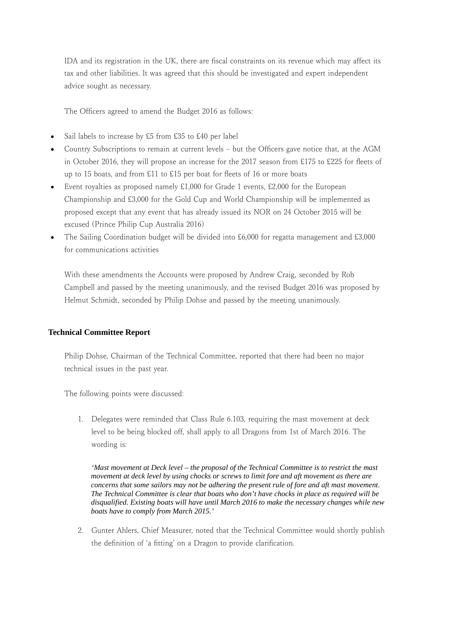IDA and its registration in the UK, there are fiscal constraints on its revenue which may affect its tax and other liabilities. It was agreed that this should be investigated and expert independent advice sought as necessary.

The Officers agreed to amend the Budget 2016 as follows:

- Sail labels to increase by £5 from £35 to £40 per label
- Country Subscriptions to remain at current levels but the Officers gave notice that, at the AGM in October 2016, they will propose an increase for the 2017 season from £175 to £225 for fleets of up to 15 boats, and from £11 to £15 per boat for fleets of 16 or more boats
- Event royalties as proposed namely £1,000 for Grade 1 events, £2,000 for the European Championship and £3,000 for the Gold Cup and World Championship will be implemented as proposed except that any event that has already issued its NOR on 24 October 2015 will be excused (Prince Philip Cup Australia 2016)
- The Sailing Coordination budget will be divided into £6,000 for regatta management and £3,000 for communications activities

With these amendments the Accounts were proposed by Andrew Craig, seconded by Rob Campbell and passed by the meeting unanimously, and the revised Budget 2016 was proposed by Helmut Schmidt, seconded by Philip Dohse and passed by the meeting unanimously.

### **Technical Committee Report**

Philip Dohse, Chairman of the Technical Committee, reported that there had been no major technical issues in the past year.

The following points were discussed:

1. Delegates were reminded that Class Rule 6.103, requiring the mast movement at deck level to be being blocked off, shall apply to all Dragons from 1st of March 2016. The wording is:

*'Mast movement at Deck level – the proposal of the Technical Committee is to restrict the mast movement at deck level by using chocks or screws to limit fore and aft movement as there are concerns that some sailors may not be adhering the present rule of fore and aft mast movement. The Technical Committee is clear that boats who don't have chocks in place as required will be disqualified. Existing boats will have until March 2016 to make the necessary changes while new boats have to comply from March 2015.'*

2. Gunter Ahlers, Chief Measurer, noted that the Technical Committee would shortly publish the definition of ʻa fitting' on a Dragon to provide clarification.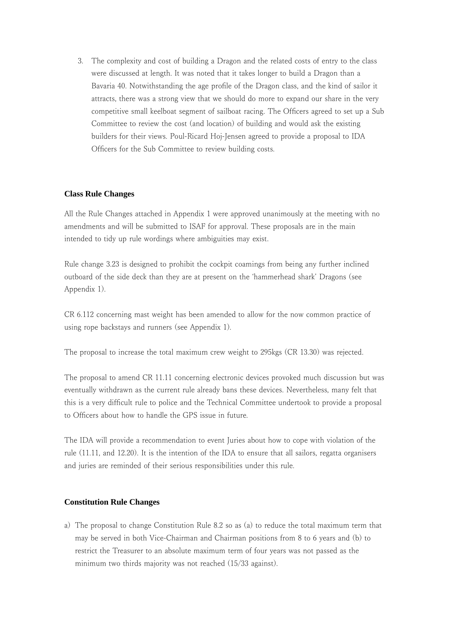3. The complexity and cost of building a Dragon and the related costs of entry to the class were discussed at length. It was noted that it takes longer to build a Dragon than a Bavaria 40. Notwithstanding the age profile of the Dragon class, and the kind of sailor it attracts, there was a strong view that we should do more to expand our share in the very competitive small keelboat segment of sailboat racing. The Officers agreed to set up a Sub Committee to review the cost (and location) of building and would ask the existing builders for their views. Poul-Ricard Hoj-Jensen agreed to provide a proposal to IDA Officers for the Sub Committee to review building costs.

## **Class Rule Changes**

All the Rule Changes attached in Appendix 1 were approved unanimously at the meeting with no amendments and will be submitted to ISAF for approval. These proposals are in the main intended to tidy up rule wordings where ambiguities may exist.

Rule change 3.23 is designed to prohibit the cockpit coamings from being any further inclined outboard of the side deck than they are at present on the ʻhammerhead shark' Dragons (see Appendix 1).

CR 6.112 concerning mast weight has been amended to allow for the now common practice of using rope backstays and runners (see Appendix 1).

The proposal to increase the total maximum crew weight to 295kgs (CR 13.30) was rejected.

The proposal to amend CR 11.11 concerning electronic devices provoked much discussion but was eventually withdrawn as the current rule already bans these devices. Nevertheless, many felt that this is a very difficult rule to police and the Technical Committee undertook to provide a proposal to Officers about how to handle the GPS issue in future.

The IDA will provide a recommendation to event Juries about how to cope with violation of the rule (11.11, and 12.20). It is the intention of the IDA to ensure that all sailors, regatta organisers and juries are reminded of their serious responsibilities under this rule.

### **Constitution Rule Changes**

a) The proposal to change Constitution Rule 8.2 so as (a) to reduce the total maximum term that may be served in both Vice-Chairman and Chairman positions from 8 to 6 years and (b) to restrict the Treasurer to an absolute maximum term of four years was not passed as the minimum two thirds majority was not reached (15/33 against).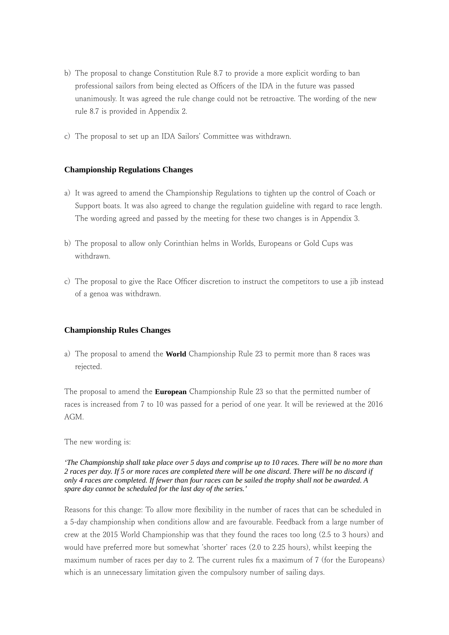- b) The proposal to change Constitution Rule 8.7 to provide a more explicit wording to ban professional sailors from being elected as Officers of the IDA in the future was passed unanimously. It was agreed the rule change could not be retroactive. The wording of the new rule 8.7 is provided in Appendix 2.
- c) The proposal to set up an IDA Sailors' Committee was withdrawn.

### **Championship Regulations Changes**

- a) It was agreed to amend the Championship Regulations to tighten up the control of Coach or Support boats. It was also agreed to change the regulation guideline with regard to race length. The wording agreed and passed by the meeting for these two changes is in Appendix 3.
- b) The proposal to allow only Corinthian helms in Worlds, Europeans or Gold Cups was withdrawn.
- c) The proposal to give the Race Officer discretion to instruct the competitors to use a jib instead of a genoa was withdrawn.

#### **Championship Rules Changes**

a) The proposal to amend the **World** Championship Rule 23 to permit more than 8 races was rejected.

The proposal to amend the **European** Championship Rule 23 so that the permitted number of races is increased from 7 to 10 was passed for a period of one year. It will be reviewed at the 2016 AGM.

The new wording is:

*'The Championship shall take place over 5 days and comprise up to 10 races. There will be no more than 2 races per day. If 5 or more races are completed there will be one discard. There will be no discard if only 4 races are completed. If fewer than four races can be sailed the trophy shall not be awarded. A spare day cannot be scheduled for the last day of the series.'*

Reasons for this change: To allow more flexibility in the number of races that can be scheduled in a 5-day championship when conditions allow and are favourable. Feedback from a large number of crew at the 2015 World Championship was that they found the races too long (2.5 to 3 hours) and would have preferred more but somewhat 'shorter' races (2.0 to 2.25 hours), whilst keeping the maximum number of races per day to 2. The current rules fix a maximum of 7 (for the Europeans) which is an unnecessary limitation given the compulsory number of sailing days.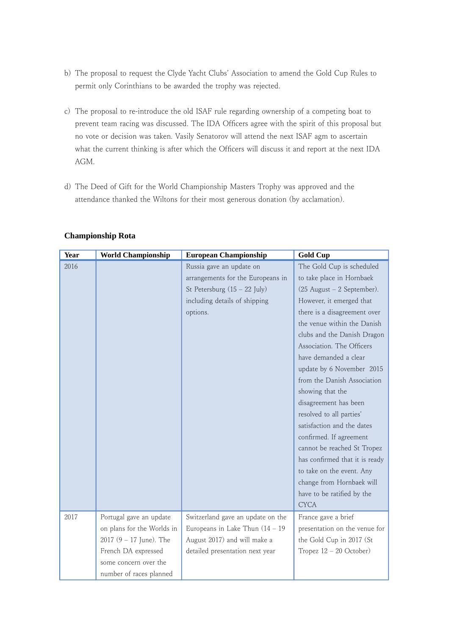- b) The proposal to request the Clyde Yacht Clubs' Association to amend the Gold Cup Rules to permit only Corinthians to be awarded the trophy was rejected.
- c) The proposal to re-introduce the old ISAF rule regarding ownership of a competing boat to prevent team racing was discussed. The IDA Officers agree with the spirit of this proposal but no vote or decision was taken. Vasily Senatorov will attend the next ISAF agm to ascertain what the current thinking is after which the Officers will discuss it and report at the next IDA AGM.
- d) The Deed of Gift for the World Championship Masters Trophy was approved and the attendance thanked the Wiltons for their most generous donation (by acclamation).

| <b>Year</b> | <b>World Championship</b>  | <b>European Championship</b>       | <b>Gold Cup</b>                |
|-------------|----------------------------|------------------------------------|--------------------------------|
| 2016        |                            | Russia gave an update on           | The Gold Cup is scheduled      |
|             |                            | arrangements for the Europeans in  | to take place in Hornbaek      |
|             |                            | St Petersburg $(15 - 22$ July)     | (25 August - 2 September).     |
|             |                            | including details of shipping      | However, it emerged that       |
|             |                            | options.                           | there is a disagreement over   |
|             |                            |                                    | the venue within the Danish    |
|             |                            |                                    | clubs and the Danish Dragon    |
|             |                            |                                    | Association. The Officers      |
|             |                            |                                    | have demanded a clear          |
|             |                            |                                    | update by 6 November 2015      |
|             |                            |                                    | from the Danish Association    |
|             |                            |                                    | showing that the               |
|             |                            |                                    | disagreement has been          |
|             |                            |                                    | resolved to all parties'       |
|             |                            |                                    | satisfaction and the dates     |
|             |                            |                                    | confirmed. If agreement        |
|             |                            |                                    | cannot be reached St Tropez    |
|             |                            |                                    | has confirmed that it is ready |
|             |                            |                                    | to take on the event. Any      |
|             |                            |                                    | change from Hornbaek will      |
|             |                            |                                    | have to be ratified by the     |
|             |                            |                                    | <b>CYCA</b>                    |
| 2017        | Portugal gave an update    | Switzerland gave an update on the  | France gave a brief            |
|             | on plans for the Worlds in | Europeans in Lake Thun $(14 - 19)$ | presentation on the venue for  |
|             | 2017 $(9 - 17)$ June). The | August 2017) and will make a       | the Gold Cup in 2017 (St       |
|             | French DA expressed        | detailed presentation next year    | Tropez $12 - 20$ October)      |
|             | some concern over the      |                                    |                                |
|             | number of races planned    |                                    |                                |

## **Championship Rota**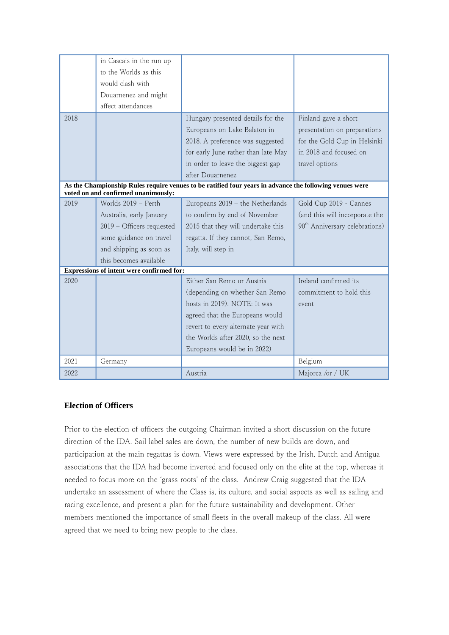|                                                                                                                                                | in Cascais in the run up                  |                                     |                                            |  |
|------------------------------------------------------------------------------------------------------------------------------------------------|-------------------------------------------|-------------------------------------|--------------------------------------------|--|
|                                                                                                                                                | to the Worlds as this                     |                                     |                                            |  |
|                                                                                                                                                | would clash with                          |                                     |                                            |  |
|                                                                                                                                                | Douarnenez and might                      |                                     |                                            |  |
|                                                                                                                                                | affect attendances                        |                                     |                                            |  |
| 2018                                                                                                                                           |                                           | Hungary presented details for the   | Finland gave a short                       |  |
|                                                                                                                                                |                                           | Europeans on Lake Balaton in        | presentation on preparations               |  |
|                                                                                                                                                |                                           | 2018. A preference was suggested    | for the Gold Cup in Helsinki               |  |
|                                                                                                                                                |                                           | for early June rather than late May | in 2018 and focused on                     |  |
|                                                                                                                                                |                                           | in order to leave the biggest gap   | travel options                             |  |
|                                                                                                                                                |                                           | after Douarnenez                    |                                            |  |
| As the Championship Rules require venues to be ratified four years in advance the following venues were<br>voted on and confirmed unanimously: |                                           |                                     |                                            |  |
| 2019                                                                                                                                           | Worlds 2019 - Perth                       | Europeans 2019 - the Netherlands    | Gold Cup 2019 - Cannes                     |  |
|                                                                                                                                                |                                           |                                     |                                            |  |
|                                                                                                                                                | Australia, early January                  | to confirm by end of November       | (and this will incorporate the             |  |
|                                                                                                                                                | 2019 - Officers requested                 | 2015 that they will undertake this  | 90 <sup>th</sup> Anniversary celebrations) |  |
|                                                                                                                                                | some guidance on travel                   | regatta. If they cannot, San Remo,  |                                            |  |
|                                                                                                                                                | and shipping as soon as                   | Italy, will step in                 |                                            |  |
|                                                                                                                                                | this becomes available                    |                                     |                                            |  |
|                                                                                                                                                | Expressions of intent were confirmed for: |                                     |                                            |  |
| 2020                                                                                                                                           |                                           | Either San Remo or Austria          | Ireland confirmed its                      |  |
|                                                                                                                                                |                                           | (depending on whether San Remo      | commitment to hold this                    |  |
|                                                                                                                                                |                                           | hosts in 2019). NOTE: It was        | event                                      |  |
|                                                                                                                                                |                                           | agreed that the Europeans would     |                                            |  |
|                                                                                                                                                |                                           | revert to every alternate year with |                                            |  |
|                                                                                                                                                |                                           | the Worlds after 2020, so the next  |                                            |  |
|                                                                                                                                                |                                           | Europeans would be in 2022)         |                                            |  |
| 2021                                                                                                                                           | Germany                                   |                                     | Belgium                                    |  |
| 2022                                                                                                                                           |                                           | Austria                             | Majorca /or / UK                           |  |

# **Election of Officers**

Prior to the election of officers the outgoing Chairman invited a short discussion on the future direction of the IDA. Sail label sales are down, the number of new builds are down, and participation at the main regattas is down. Views were expressed by the Irish, Dutch and Antigua associations that the IDA had become inverted and focused only on the elite at the top, whereas it needed to focus more on the ʻgrass roots' of the class. Andrew Craig suggested that the IDA undertake an assessment of where the Class is, its culture, and social aspects as well as sailing and racing excellence, and present a plan for the future sustainability and development. Other members mentioned the importance of small fleets in the overall makeup of the class. All were agreed that we need to bring new people to the class.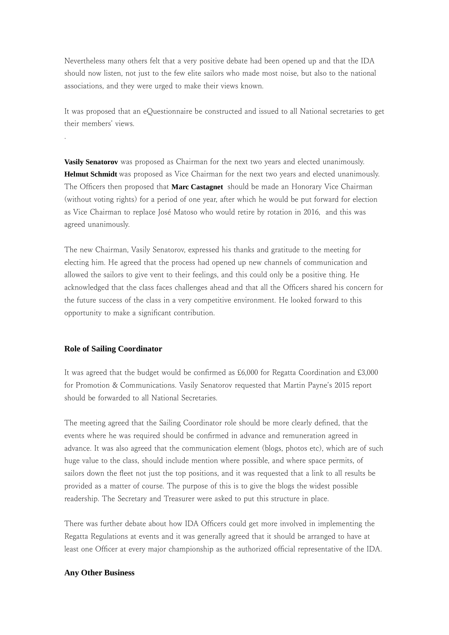Nevertheless many others felt that a very positive debate had been opened up and that the IDA should now listen, not just to the few elite sailors who made most noise, but also to the national associations, and they were urged to make their views known.

It was proposed that an eQuestionnaire be constructed and issued to all National secretaries to get their members' views.

**Vasily Senatorov** was proposed as Chairman for the next two years and elected unanimously. **Helmut Schmidt** was proposed as Vice Chairman for the next two years and elected unanimously. The Officers then proposed that **Marc Castagnet** should be made an Honorary Vice Chairman (without voting rights) for a period of one year, after which he would be put forward for election as Vice Chairman to replace José Matoso who would retire by rotation in 2016, and this was agreed unanimously.

The new Chairman, Vasily Senatorov, expressed his thanks and gratitude to the meeting for electing him. He agreed that the process had opened up new channels of communication and allowed the sailors to give vent to their feelings, and this could only be a positive thing. He acknowledged that the class faces challenges ahead and that all the Officers shared his concern for the future success of the class in a very competitive environment. He looked forward to this opportunity to make a significant contribution.

### **Role of Sailing Coordinator**

.

It was agreed that the budget would be confirmed as £6,000 for Regatta Coordination and £3,000 for Promotion & Communications. Vasily Senatorov requested that Martin Payne's 2015 report should be forwarded to all National Secretaries.

The meeting agreed that the Sailing Coordinator role should be more clearly defined, that the events where he was required should be confirmed in advance and remuneration agreed in advance. It was also agreed that the communication element (blogs, photos etc), which are of such huge value to the class, should include mention where possible, and where space permits, of sailors down the fleet not just the top positions, and it was requested that a link to all results be provided as a matter of course. The purpose of this is to give the blogs the widest possible readership. The Secretary and Treasurer were asked to put this structure in place.

There was further debate about how IDA Officers could get more involved in implementing the Regatta Regulations at events and it was generally agreed that it should be arranged to have at least one Officer at every major championship as the authorized official representative of the IDA.

#### **Any Other Business**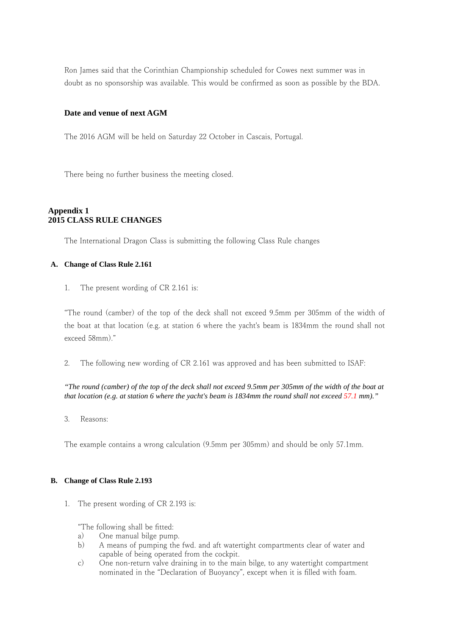Ron James said that the Corinthian Championship scheduled for Cowes next summer was in doubt as no sponsorship was available. This would be confirmed as soon as possible by the BDA.

### **Date and venue of next AGM**

The 2016 AGM will be held on Saturday 22 October in Cascais, Portugal.

There being no further business the meeting closed.

### **Appendix 1 2015 CLASS RULE CHANGES**

The International Dragon Class is submitting the following Class Rule changes

#### **A. Change of Class Rule 2.161**

1. The present wording of CR 2.161 is:

"The round (camber) of the top of the deck shall not exceed 9.5mm per 305mm of the width of the boat at that location (e.g. at station 6 where the yacht's beam is 1834mm the round shall not exceed 58mm)."

2. The following new wording of CR 2.161 was approved and has been submitted to ISAF:

*"The round (camber) of the top of the deck shall not exceed 9.5mm per 305mm of the width of the boat at that location (e.g. at station 6 where the yacht's beam is 1834mm the round shall not exceed 57.1 mm)."* 

3. Reasons:

The example contains a wrong calculation (9.5mm per 305mm) and should be only 57.1mm.

#### **B. Change of Class Rule 2.193**

1. The present wording of CR 2.193 is:

"The following shall be fitted:

- a) One manual bilge pump.
- b) A means of pumping the fwd. and aft watertight compartments clear of water and capable of being operated from the cockpit.
- c) One non-return valve draining in to the main bilge, to any watertight compartment nominated in the "Declaration of Buoyancy", except when it is filled with foam.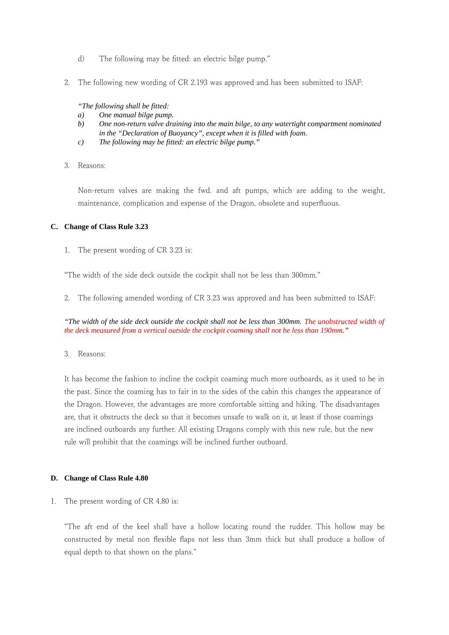- d) The following may be fitted: an electric bilge pump."
- 2. The following new wording of CR 2.193 was approved and has been submitted to ISAF:

*"The following shall be fitted:*

- *a) One manual bilge pump.*
- *b) One non-return valve draining into the main bilge, to any watertight compartment nominated in the "Declaration of Buoyancy", except when it is filled with foam.*
- *c) The following may be fitted: an electric bilge pump."*
- 3. Reasons:

Non-return valves are making the fwd. and aft pumps, which are adding to the weight, maintenance, complication and expense of the Dragon, obsolete and superfluous.

#### **C. Change of Class Rule 3.23**

1. The present wording of CR 3.23 is:

"The width of the side deck outside the cockpit shall not be less than 300mm."

2. The following amended wording of CR 3.23 was approved and has been submitted to ISAF:

*"The width of the side deck outside the cockpit shall not be less than 300mm. The unobstructed width of the deck measured from a vertical outside the cockpit coaming shall not be less than 190mm."* 

3. Reasons:

It has become the fashion to incline the cockpit coaming much more outboards, as it used to be in the past. Since the coaming has to fair in to the sides of the cabin this changes the appearance of the Dragon. However, the advantages are more comfortable sitting and hiking. The disadvantages are, that it obstructs the deck so that it becomes unsafe to walk on it, at least if those coamings are inclined outboards any further. All existing Dragons comply with this new rule, but the new rule will prohibit that the coamings will be inclined further outboard.

#### **D. Change of Class Rule 4.80**

1. The present wording of CR 4.80 is:

"The aft end of the keel shall have a hollow locating round the rudder. This hollow may be constructed by metal non flexible flaps not less than 3mm thick but shall produce a hollow of equal depth to that shown on the plans."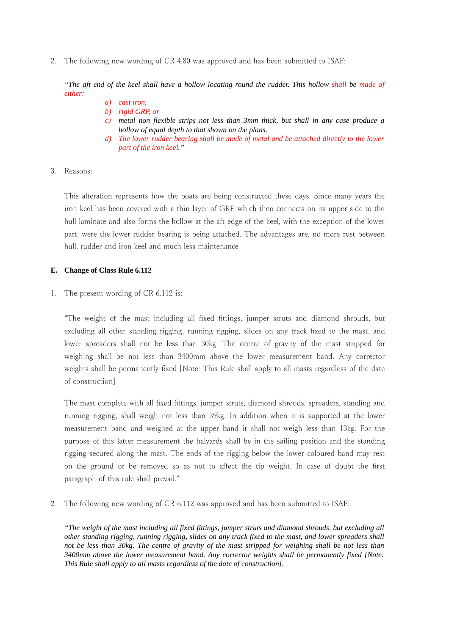2. The following new wording of CR 4.80 was approved and has been submitted to ISAF:

*"The aft end of the keel shall have a hollow locating round the rudder. This hollow shall be made of either:*

- *a) cast iron,*
- *b) rigid GRP, or*
- *c) metal non flexible strips not less than 3mm thick, but shall in any case produce a hollow of equal depth to that shown on the plans.*
- *d) The lower rudder bearing shall be made of metal and be attached directly to the lower part of the iron keel."*
- 3. Reasons:

This alteration represents how the boats are being constructed these days. Since many years the iron keel has been covered with a thin layer of GRP which then connects on its upper side to the hull laminate and also forms the hollow at the aft edge of the keel, with the exception of the lower part, were the lower rudder bearing is being attached. The advantages are, no more rust between hull, rudder and iron keel and much less maintenance

#### **E. Change of Class Rule 6.112**

1. The present wording of CR 6.112 is:

"The weight of the mast including all fixed fittings, jumper struts and diamond shrouds, but excluding all other standing rigging, running rigging, slides on any track fixed to the mast, and lower spreaders shall not be less than 30kg. The centre of gravity of the mast stripped for weighing shall be not less than 3400mm above the lower measurement band. Any corrector weights shall be permanently fixed [Note: This Rule shall apply to all masts regardless of the date of construction]

The mast complete with all fixed fittings, jumper struts, diamond shrouds, spreaders, standing and running rigging, shall weigh not less than 39kg. In addition when it is supported at the lower measurement band and weighed at the upper band it shall not weigh less than 13kg. For the purpose of this latter measurement the halyards shall be in the sailing position and the standing rigging secured along the mast. The ends of the rigging below the lower coloured band may rest on the ground or be removed so as not to affect the tip weight. In case of doubt the first paragraph of this rule shall prevail."

2. The following new wording of CR 6.112 was approved and has been submitted to ISAF:

*"The weight of the mast including all fixed fittings, jumper struts and diamond shrouds, but excluding all other standing rigging, running rigging, slides on any track fixed to the mast, and lower spreaders shall not be less than 30kg. The centre of gravity of the mast stripped for weighing shall be not less than 3400mm above the lower measurement band. Any corrector weights shall be permanently fixed [Note: This Rule shall apply to all masts regardless of the date of construction].*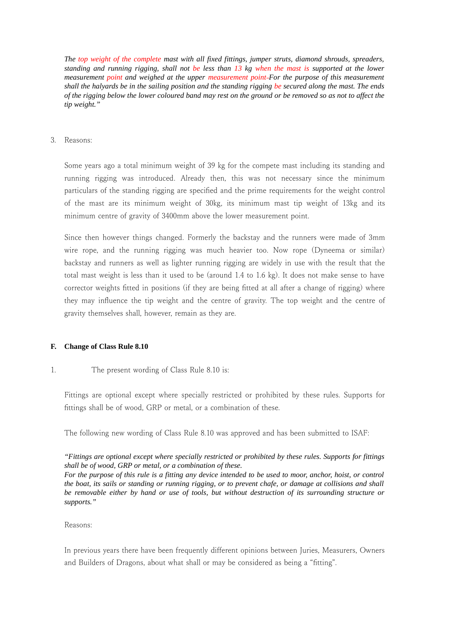*The top weight of the complete mast with all fixed fittings, jumper struts, diamond shrouds, spreaders, standing and running rigging, shall not be less than 13 kg when the mast is supported at the lower measurement point and weighed at the upper measurement point For the purpose of this measurement shall the halyards be in the sailing position and the standing rigging be secured along the mast. The ends of the rigging below the lower coloured band may rest on the ground or be removed so as not to affect the tip weight."*

3. Reasons:

Some years ago a total minimum weight of 39 kg for the compete mast including its standing and running rigging was introduced. Already then, this was not necessary since the minimum particulars of the standing rigging are specified and the prime requirements for the weight control of the mast are its minimum weight of 30kg, its minimum mast tip weight of 13kg and its minimum centre of gravity of 3400mm above the lower measurement point.

Since then however things changed. Formerly the backstay and the runners were made of 3mm wire rope, and the running rigging was much heavier too. Now rope (Dyneema or similar) backstay and runners as well as lighter running rigging are widely in use with the result that the total mast weight is less than it used to be (around 1.4 to 1.6 kg). It does not make sense to have corrector weights fitted in positions (if they are being fitted at all after a change of rigging) where they may influence the tip weight and the centre of gravity. The top weight and the centre of gravity themselves shall, however, remain as they are.

#### **F. Change of Class Rule 8.10**

#### 1. The present wording of Class Rule 8.10 is:

Fittings are optional except where specially restricted or prohibited by these rules. Supports for fittings shall be of wood, GRP or metal, or a combination of these.

The following new wording of Class Rule 8.10 was approved and has been submitted to ISAF:

### *"Fittings are optional except where specially restricted or prohibited by these rules. Supports for fittings shall be of wood, GRP or metal, or a combination of these.*

*For the purpose of this rule is a fitting any device intended to be used to moor, anchor, hoist, or control the boat, its sails or standing or running rigging, or to prevent chafe, or damage at collisions and shall be removable either by hand or use of tools, but without destruction of its surrounding structure or supports."*

#### Reasons:

In previous years there have been frequently different opinions between Juries, Measurers, Owners and Builders of Dragons, about what shall or may be considered as being a "fitting".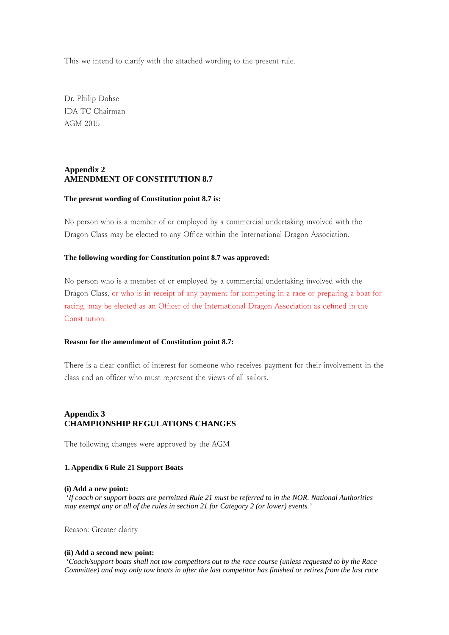This we intend to clarify with the attached wording to the present rule.

Dr. Philip Dohse IDA TC Chairman AGM 2015

### **Appendix 2 AMENDMENT OF CONSTITUTION 8.7**

#### **The present wording of Constitution point 8.7 is:**

No person who is a member of or employed by a commercial undertaking involved with the Dragon Class may be elected to any Office within the International Dragon Association.

#### **The following wording for Constitution point 8.7 was approved:**

No person who is a member of or employed by a commercial undertaking involved with the Dragon Class, or who is in receipt of any payment for competing in a race or preparing a boat for racing, may be elected as an Officer of the International Dragon Association as defined in the Constitution.

#### **Reason for the amendment of Constitution point 8.7:**

There is a clear conflict of interest for someone who receives payment for their involvement in the class and an officer who must represent the views of all sailors.

### **Appendix 3 CHAMPIONSHIP REGULATIONS CHANGES**

The following changes were approved by the AGM

#### **1. Appendix 6 Rule 21 Support Boats**

#### **(i) Add a new point:**

 *'If coach or support boats are permitted Rule 21 must be referred to in the NOR. National Authorities may exempt any or all of the rules in section 21 for Category 2 (or lower) events.'*

Reason: Greater clarity

#### **(ii) Add a second new point:**

 *'Coach/support boats shall not tow competitors out to the race course (unless requested to by the Race Committee) and may only tow boats in after the last competitor has finished or retires from the last race*